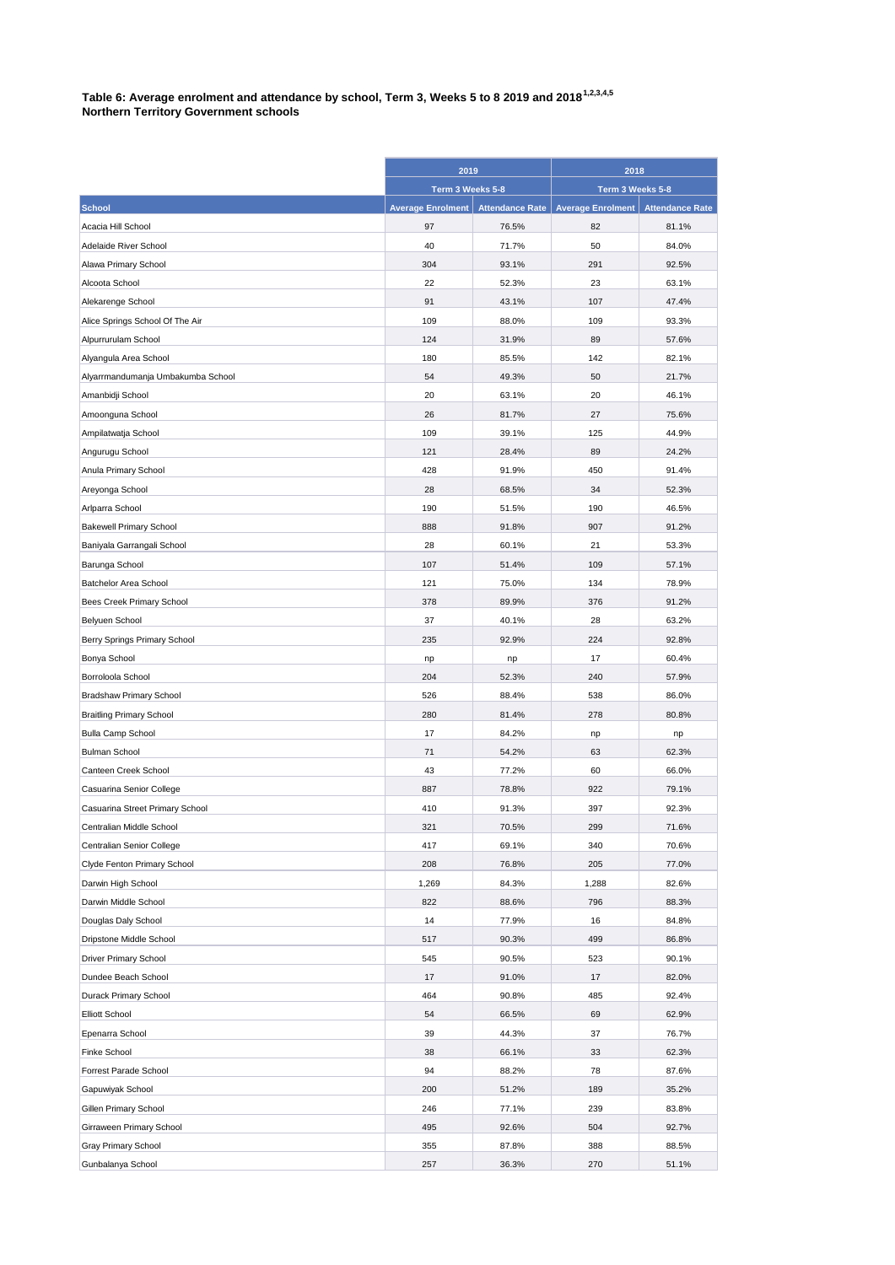## **Table 6: Average enrolment and attendance by school, Term 3, Weeks 5 to 8 2019 and 20181,2,3,4,5 Northern Territory Government schools**

|                                   | 2019                     |                        | 2018                     |                        |
|-----------------------------------|--------------------------|------------------------|--------------------------|------------------------|
|                                   | Term 3 Weeks 5-8         |                        | Term 3 Weeks 5-8         |                        |
| <b>School</b>                     | <b>Average Enrolment</b> | <b>Attendance Rate</b> | <b>Average Enrolment</b> | <b>Attendance Rate</b> |
| Acacia Hill School                | 97                       | 76.5%                  | 82                       | 81.1%                  |
| Adelaide River School             | 40                       | 71.7%                  | 50                       | 84.0%                  |
| Alawa Primary School              | 304                      | 93.1%                  | 291                      | 92.5%                  |
| Alcoota School                    | 22                       | 52.3%                  | 23                       | 63.1%                  |
| Alekarenge School                 | 91                       | 43.1%                  | 107                      | 47.4%                  |
| Alice Springs School Of The Air   | 109                      | 88.0%                  | 109                      | 93.3%                  |
| Alpurrurulam School               | 124                      | 31.9%                  | 89                       | 57.6%                  |
| Alyangula Area School             | 180                      | 85.5%                  | 142                      | 82.1%                  |
| Alyarrmandumanja Umbakumba School | 54                       | 49.3%                  | 50                       | 21.7%                  |
| Amanbidji School                  | 20                       | 63.1%                  | 20                       | 46.1%                  |
| Amoonguna School                  | 26                       | 81.7%                  | 27                       | 75.6%                  |
| Ampilatwatja School               | 109                      | 39.1%                  | 125                      | 44.9%                  |
| Angurugu School                   | 121                      | 28.4%                  | 89                       | 24.2%                  |
| Anula Primary School              | 428                      | 91.9%                  | 450                      | 91.4%                  |
| Areyonga School                   | 28                       | 68.5%                  | 34                       | 52.3%                  |
| Arlparra School                   | 190                      | 51.5%                  | 190                      | 46.5%                  |
| <b>Bakewell Primary School</b>    | 888                      | 91.8%                  | 907                      | 91.2%                  |
| Baniyala Garrangali School        | 28                       | 60.1%                  | 21                       | 53.3%                  |
| Barunga School                    | 107                      | 51.4%                  | 109                      | 57.1%                  |
| Batchelor Area School             | 121                      | 75.0%                  | 134                      | 78.9%                  |
| Bees Creek Primary School         | 378                      | 89.9%                  | 376                      | 91.2%                  |
| Belyuen School                    | 37                       | 40.1%                  | 28                       | 63.2%                  |
| Berry Springs Primary School      | 235                      | 92.9%                  | 224                      | 92.8%                  |
| Bonya School                      | np                       | np                     | 17                       | 60.4%                  |
| Borroloola School                 | 204                      | 52.3%                  | 240                      | 57.9%                  |
| <b>Bradshaw Primary School</b>    | 526                      | 88.4%                  | 538                      | 86.0%                  |
| <b>Braitling Primary School</b>   | 280                      | 81.4%                  | 278                      | 80.8%                  |
| <b>Bulla Camp School</b>          | 17                       | 84.2%                  | np                       | np                     |
| <b>Bulman School</b>              | 71                       | 54.2%                  | 63                       | 62.3%                  |
| Canteen Creek School              | 43                       | 77.2%                  | 60                       | 66.0%                  |
| Casuarina Senior College          | 887                      | 78.8%                  | 922                      | 79.1%                  |
| Casuarina Street Primary School   | 410                      | 91.3%                  | 397                      | 92.3%                  |
| Centralian Middle School          | 321                      | 70.5%                  | 299                      | 71.6%                  |
| Centralian Senior College         | 417                      | 69.1%                  | 340                      | 70.6%                  |
| Clyde Fenton Primary School       | 208                      | 76.8%                  | 205                      | 77.0%                  |
| Darwin High School                | 1,269                    | 84.3%                  | 1,288                    | 82.6%                  |
| Darwin Middle School              | 822                      | 88.6%                  | 796                      | 88.3%                  |
| Douglas Daly School               | 14                       | 77.9%                  | 16                       | 84.8%                  |
| Dripstone Middle School           | 517                      | 90.3%                  | 499                      | 86.8%                  |
| Driver Primary School             | 545                      | 90.5%                  | 523                      | 90.1%                  |
| Dundee Beach School               | 17                       | 91.0%                  | 17                       | 82.0%                  |
| Durack Primary School             | 464                      | 90.8%                  | 485                      | 92.4%                  |
| <b>Elliott School</b>             | 54                       | 66.5%                  | 69                       | 62.9%                  |
| Epenarra School                   | 39                       | 44.3%                  | 37                       | 76.7%                  |
| Finke School                      | 38                       | 66.1%                  | 33                       | 62.3%                  |
| Forrest Parade School             | 94                       | 88.2%                  | 78                       | 87.6%                  |
| Gapuwiyak School                  | 200                      | 51.2%                  | 189                      | 35.2%                  |
| Gillen Primary School             | 246                      | 77.1%                  | 239                      | 83.8%                  |
| Girraween Primary School          | 495                      | 92.6%                  | 504                      | 92.7%                  |
| Gray Primary School               | 355                      | 87.8%                  | 388                      | 88.5%                  |
| Gunbalanya School                 | 257                      | 36.3%                  | 270                      | 51.1%                  |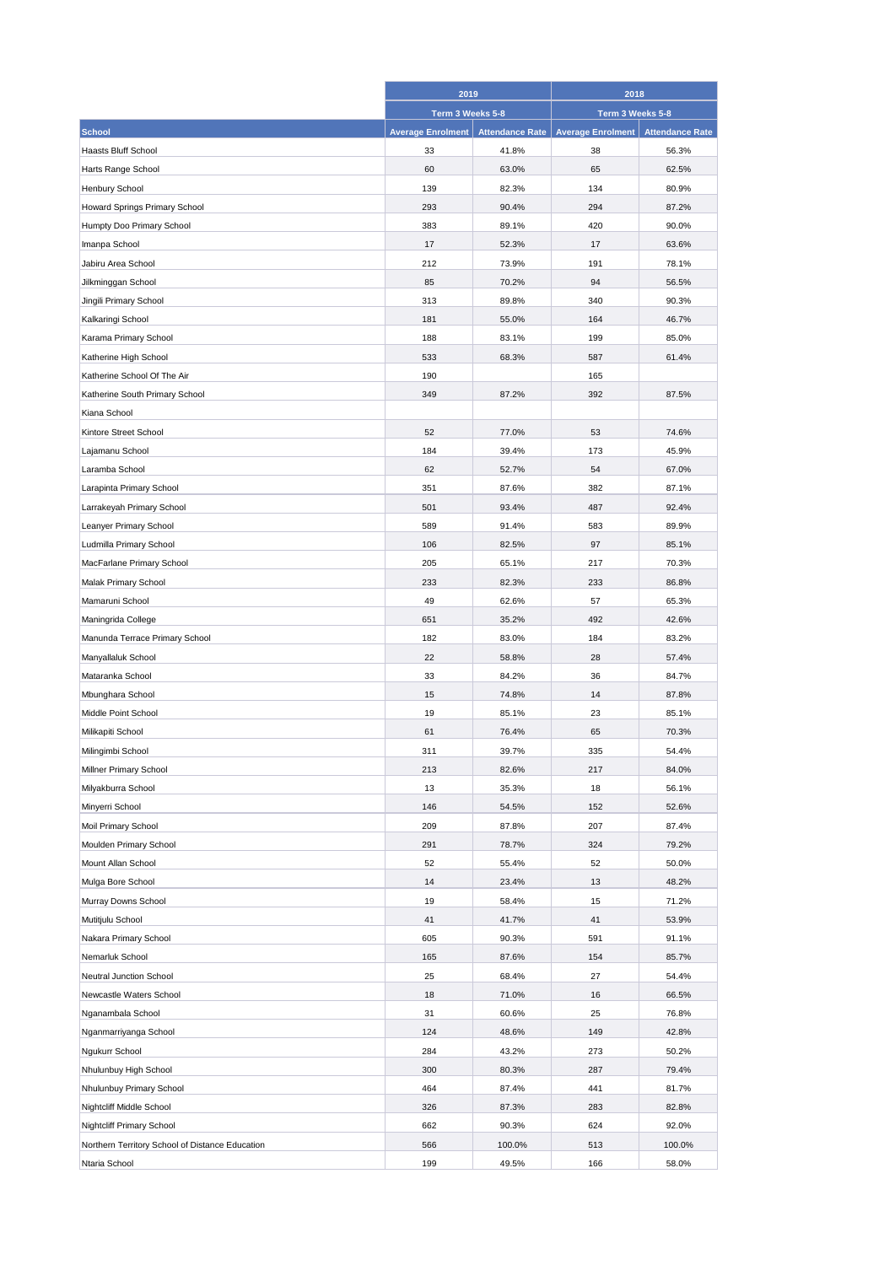|                                                 | 2019                     |                        | 2018                     |                        |
|-------------------------------------------------|--------------------------|------------------------|--------------------------|------------------------|
|                                                 | Term 3 Weeks 5-8         |                        | Term 3 Weeks 5-8         |                        |
| <b>School</b>                                   | <b>Average Enrolment</b> | <b>Attendance Rate</b> | <b>Average Enrolment</b> | <b>Attendance Rate</b> |
| <b>Haasts Bluff School</b>                      | 33                       | 41.8%                  | 38                       | 56.3%                  |
| Harts Range School                              | 60                       | 63.0%                  | 65                       | 62.5%                  |
| Henbury School                                  | 139                      | 82.3%                  | 134                      | 80.9%                  |
| Howard Springs Primary School                   | 293                      | 90.4%                  | 294                      | 87.2%                  |
| Humpty Doo Primary School                       | 383                      | 89.1%                  | 420                      | 90.0%                  |
| Imanpa School                                   | 17                       | 52.3%                  | 17                       | 63.6%                  |
| Jabiru Area School                              | 212                      | 73.9%                  | 191                      | 78.1%                  |
| Jilkminggan School                              | 85                       | 70.2%                  | 94                       | 56.5%                  |
| Jingili Primary School                          | 313                      | 89.8%                  | 340                      | 90.3%                  |
| Kalkaringi School                               | 181                      | 55.0%                  | 164                      | 46.7%                  |
| Karama Primary School                           | 188                      | 83.1%                  | 199                      | 85.0%                  |
| Katherine High School                           | 533                      | 68.3%                  | 587                      | 61.4%                  |
|                                                 | 190                      |                        |                          |                        |
| Katherine School Of The Air                     |                          |                        | 165                      |                        |
| Katherine South Primary School                  | 349                      | 87.2%                  | 392                      | 87.5%                  |
| Kiana School                                    |                          |                        |                          |                        |
| Kintore Street School                           | 52                       | 77.0%                  | 53                       | 74.6%                  |
| Lajamanu School                                 | 184                      | 39.4%                  | 173                      | 45.9%                  |
| Laramba School                                  | 62                       | 52.7%                  | 54                       | 67.0%                  |
| Larapinta Primary School                        | 351                      | 87.6%                  | 382                      | 87.1%                  |
| Larrakeyah Primary School                       | 501                      | 93.4%                  | 487                      | 92.4%                  |
| Leanyer Primary School                          | 589                      | 91.4%                  | 583                      | 89.9%                  |
| Ludmilla Primary School                         | 106                      | 82.5%                  | 97                       | 85.1%                  |
| MacFarlane Primary School                       | 205                      | 65.1%                  | 217                      | 70.3%                  |
| Malak Primary School                            | 233                      | 82.3%                  | 233                      | 86.8%                  |
| Mamaruni School                                 | 49                       | 62.6%                  | 57                       | 65.3%                  |
| Maningrida College                              | 651                      | 35.2%                  | 492                      | 42.6%                  |
| Manunda Terrace Primary School                  | 182                      | 83.0%                  | 184                      | 83.2%                  |
| Manyallaluk School                              | 22                       | 58.8%                  | 28                       | 57.4%                  |
| Mataranka School                                | 33                       | 84.2%                  | 36                       | 84.7%                  |
| Mbunghara School                                | 15                       | 74.8%                  | 14                       | 87.8%                  |
| Middle Point School                             | 19                       | 85.1%                  | 23                       | 85.1%                  |
| Milikapiti School                               | 61                       | 76.4%                  | 65                       | 70.3%                  |
| Milingimbi School                               | 311                      | 39.7%                  | 335                      | 54.4%                  |
| Millner Primary School                          | 213                      | 82.6%                  | 217                      | 84.0%                  |
| Milyakburra School                              | 13                       | 35.3%                  | 18                       | 56.1%                  |
| Minyerri School                                 | 146                      | 54.5%                  | 152                      | 52.6%                  |
| Moil Primary School                             | 209                      | 87.8%                  | 207                      | 87.4%                  |
| Moulden Primary School                          | 291                      | 78.7%                  | 324                      | 79.2%                  |
| Mount Allan School                              | 52                       | 55.4%                  | 52                       | 50.0%                  |
| Mulga Bore School                               | 14                       | 23.4%                  | 13                       | 48.2%                  |
| Murray Downs School                             | 19                       | 58.4%                  | 15                       | 71.2%                  |
| Mutitjulu School                                | 41                       | 41.7%                  | 41                       | 53.9%                  |
| Nakara Primary School                           | 605                      | 90.3%                  | 591                      | 91.1%                  |
| Nemarluk School                                 | 165                      | 87.6%                  | 154                      | 85.7%                  |
| Neutral Junction School                         | 25                       | 68.4%                  | 27                       | 54.4%                  |
| Newcastle Waters School                         | 18                       | 71.0%                  | 16                       | 66.5%                  |
| Nganambala School                               | 31                       | 60.6%                  | 25                       | 76.8%                  |
|                                                 |                          |                        |                          |                        |
| Nganmarriyanga School                           | 124                      | 48.6%                  | 149                      | 42.8%                  |
| Ngukurr School                                  | 284                      | 43.2%                  | 273                      | 50.2%                  |
| Nhulunbuy High School                           | 300                      | 80.3%                  | 287                      | 79.4%                  |
| Nhulunbuy Primary School                        | 464                      | 87.4%                  | 441                      | 81.7%                  |
| Nightcliff Middle School                        | 326                      | 87.3%                  | 283                      | 82.8%                  |
| Nightcliff Primary School                       | 662                      | 90.3%                  | 624                      | 92.0%                  |
| Northern Territory School of Distance Education | 566                      | 100.0%                 | 513                      | 100.0%                 |
| Ntaria School                                   | 199                      | 49.5%                  | 166                      | 58.0%                  |